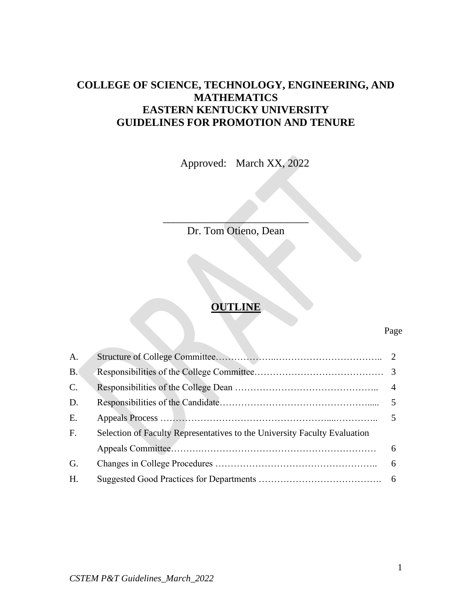# **COLLEGE OF SCIENCE, TECHNOLOGY, ENGINEERING, AND MATHEMATICS EASTERN KENTUCKY UNIVERSITY GUIDELINES FOR PROMOTION AND TENURE**

Approved: March XX, 2022

\_\_\_\_\_\_\_\_\_\_\_\_\_\_\_\_\_\_\_\_\_\_\_\_\_\_\_ Dr. Tom Otieno, Dean

# **OUTLINE**

#### Page

| A.              |                                                                           |  |
|-----------------|---------------------------------------------------------------------------|--|
| B <sub>1</sub>  |                                                                           |  |
| $\mathcal{C}$ . |                                                                           |  |
| D.              |                                                                           |  |
| E.              |                                                                           |  |
| F.              | Selection of Faculty Representatives to the University Faculty Evaluation |  |
|                 |                                                                           |  |
| G.              |                                                                           |  |
| H.              |                                                                           |  |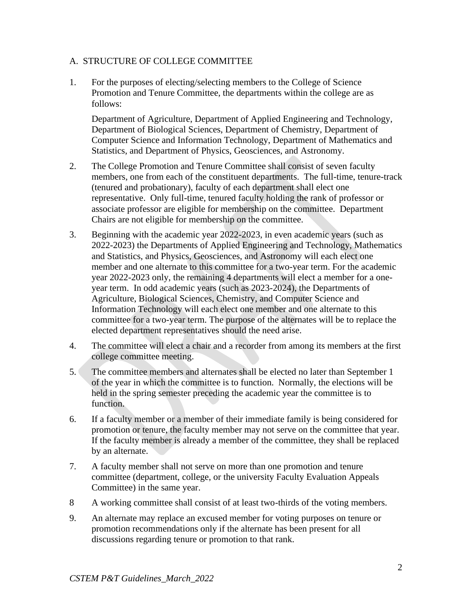#### A. STRUCTURE OF COLLEGE COMMITTEE

1. For the purposes of electing/selecting members to the College of Science Promotion and Tenure Committee, the departments within the college are as follows:

Department of Agriculture, Department of Applied Engineering and Technology, Department of Biological Sciences, Department of Chemistry, Department of Computer Science and Information Technology, Department of Mathematics and Statistics, and Department of Physics, Geosciences, and Astronomy.

- 2. The College Promotion and Tenure Committee shall consist of seven faculty members, one from each of the constituent departments. The full-time, tenure-track (tenured and probationary), faculty of each department shall elect one representative. Only full-time, tenured faculty holding the rank of professor or associate professor are eligible for membership on the committee. Department Chairs are not eligible for membership on the committee.
- 3. Beginning with the academic year 2022-2023, in even academic years (such as 2022-2023) the Departments of Applied Engineering and Technology, Mathematics and Statistics, and Physics, Geosciences, and Astronomy will each elect one member and one alternate to this committee for a two-year term. For the academic year 2022-2023 only, the remaining 4 departments will elect a member for a oneyear term. In odd academic years (such as 2023-2024), the Departments of Agriculture, Biological Sciences, Chemistry, and Computer Science and Information Technology will each elect one member and one alternate to this committee for a two-year term. The purpose of the alternates will be to replace the elected department representatives should the need arise.
- 4. The committee will elect a chair and a recorder from among its members at the first college committee meeting.
- 5. The committee members and alternates shall be elected no later than September 1 of the year in which the committee is to function. Normally, the elections will be held in the spring semester preceding the academic year the committee is to function.
- 6. If a faculty member or a member of their immediate family is being considered for promotion or tenure, the faculty member may not serve on the committee that year. If the faculty member is already a member of the committee, they shall be replaced by an alternate.
- 7. A faculty member shall not serve on more than one promotion and tenure committee (department, college, or the university Faculty Evaluation Appeals Committee) in the same year.
- 8 A working committee shall consist of at least two-thirds of the voting members.
- 9. An alternate may replace an excused member for voting purposes on tenure or promotion recommendations only if the alternate has been present for all discussions regarding tenure or promotion to that rank.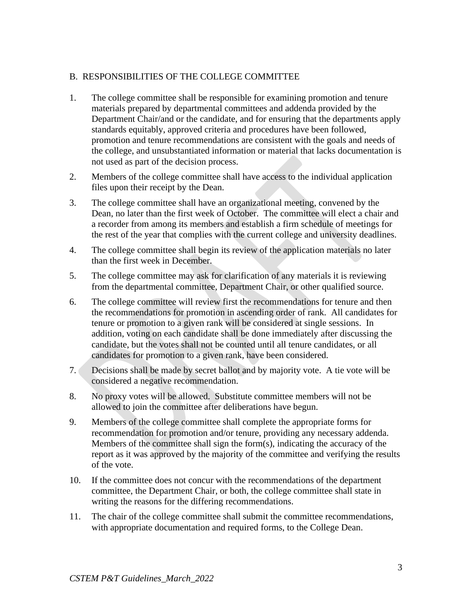### B. RESPONSIBILITIES OF THE COLLEGE COMMITTEE

- 1. The college committee shall be responsible for examining promotion and tenure materials prepared by departmental committees and addenda provided by the Department Chair/and or the candidate, and for ensuring that the departments apply standards equitably, approved criteria and procedures have been followed, promotion and tenure recommendations are consistent with the goals and needs of the college, and unsubstantiated information or material that lacks documentation is not used as part of the decision process.
- 2. Members of the college committee shall have access to the individual application files upon their receipt by the Dean.
- 3. The college committee shall have an organizational meeting, convened by the Dean, no later than the first week of October. The committee will elect a chair and a recorder from among its members and establish a firm schedule of meetings for the rest of the year that complies with the current college and university deadlines.
- 4. The college committee shall begin its review of the application materials no later than the first week in December.
- 5. The college committee may ask for clarification of any materials it is reviewing from the departmental committee, Department Chair, or other qualified source.
- 6. The college committee will review first the recommendations for tenure and then the recommendations for promotion in ascending order of rank. All candidates for tenure or promotion to a given rank will be considered at single sessions. In addition, voting on each candidate shall be done immediately after discussing the candidate, but the votes shall not be counted until all tenure candidates, or all candidates for promotion to a given rank, have been considered.
- 7. Decisions shall be made by secret ballot and by majority vote. A tie vote will be considered a negative recommendation.
- 8. No proxy votes will be allowed. Substitute committee members will not be allowed to join the committee after deliberations have begun.
- 9. Members of the college committee shall complete the appropriate forms for recommendation for promotion and/or tenure, providing any necessary addenda. Members of the committee shall sign the form(s), indicating the accuracy of the report as it was approved by the majority of the committee and verifying the results of the vote.
- 10. If the committee does not concur with the recommendations of the department committee, the Department Chair, or both, the college committee shall state in writing the reasons for the differing recommendations.
- 11. The chair of the college committee shall submit the committee recommendations, with appropriate documentation and required forms, to the College Dean.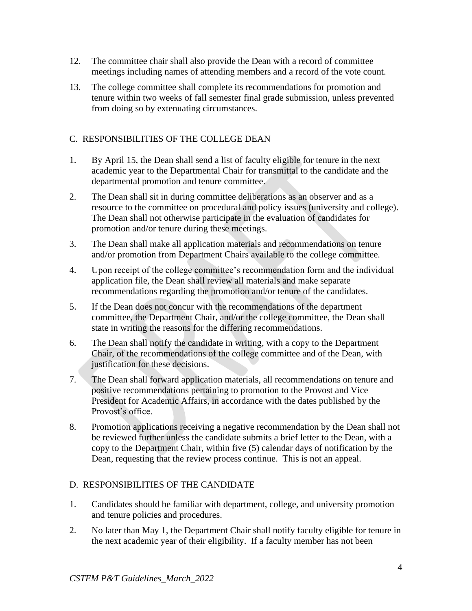- 12. The committee chair shall also provide the Dean with a record of committee meetings including names of attending members and a record of the vote count.
- 13. The college committee shall complete its recommendations for promotion and tenure within two weeks of fall semester final grade submission, unless prevented from doing so by extenuating circumstances.

### C. RESPONSIBILITIES OF THE COLLEGE DEAN

- 1. By April 15, the Dean shall send a list of faculty eligible for tenure in the next academic year to the Departmental Chair for transmittal to the candidate and the departmental promotion and tenure committee.
- 2. The Dean shall sit in during committee deliberations as an observer and as a resource to the committee on procedural and policy issues (university and college). The Dean shall not otherwise participate in the evaluation of candidates for promotion and/or tenure during these meetings.
- 3. The Dean shall make all application materials and recommendations on tenure and/or promotion from Department Chairs available to the college committee.
- 4. Upon receipt of the college committee's recommendation form and the individual application file, the Dean shall review all materials and make separate recommendations regarding the promotion and/or tenure of the candidates.
- 5. If the Dean does not concur with the recommendations of the department committee, the Department Chair, and/or the college committee, the Dean shall state in writing the reasons for the differing recommendations.
- 6. The Dean shall notify the candidate in writing, with a copy to the Department Chair, of the recommendations of the college committee and of the Dean, with justification for these decisions.
- 7. The Dean shall forward application materials, all recommendations on tenure and positive recommendations pertaining to promotion to the Provost and Vice President for Academic Affairs, in accordance with the dates published by the Provost's office.
- 8. Promotion applications receiving a negative recommendation by the Dean shall not be reviewed further unless the candidate submits a brief letter to the Dean, with a copy to the Department Chair, within five (5) calendar days of notification by the Dean, requesting that the review process continue. This is not an appeal.

### D. RESPONSIBILITIES OF THE CANDIDATE

- 1. Candidates should be familiar with department, college, and university promotion and tenure policies and procedures.
- 2. No later than May 1, the Department Chair shall notify faculty eligible for tenure in the next academic year of their eligibility. If a faculty member has not been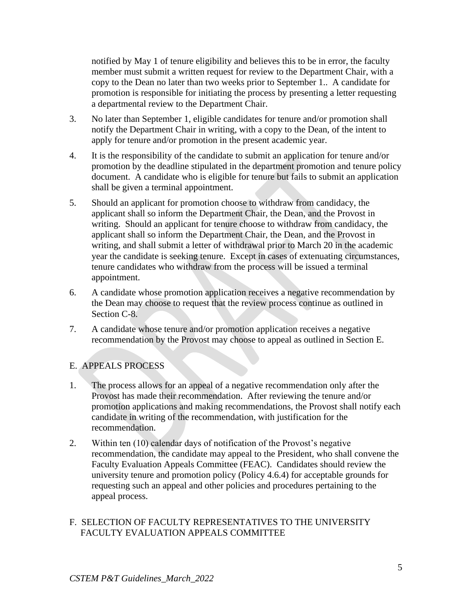notified by May 1 of tenure eligibility and believes this to be in error, the faculty member must submit a written request for review to the Department Chair, with a copy to the Dean no later than two weeks prior to September 1.. A candidate for promotion is responsible for initiating the process by presenting a letter requesting a departmental review to the Department Chair.

- 3. No later than September 1, eligible candidates for tenure and/or promotion shall notify the Department Chair in writing, with a copy to the Dean, of the intent to apply for tenure and/or promotion in the present academic year.
- 4. It is the responsibility of the candidate to submit an application for tenure and/or promotion by the deadline stipulated in the department promotion and tenure policy document. A candidate who is eligible for tenure but fails to submit an application shall be given a terminal appointment.
- 5. Should an applicant for promotion choose to withdraw from candidacy, the applicant shall so inform the Department Chair, the Dean, and the Provost in writing. Should an applicant for tenure choose to withdraw from candidacy, the applicant shall so inform the Department Chair, the Dean, and the Provost in writing, and shall submit a letter of withdrawal prior to March 20 in the academic year the candidate is seeking tenure. Except in cases of extenuating circumstances, tenure candidates who withdraw from the process will be issued a terminal appointment.
- 6. A candidate whose promotion application receives a negative recommendation by the Dean may choose to request that the review process continue as outlined in Section C-8.
- 7. A candidate whose tenure and/or promotion application receives a negative recommendation by the Provost may choose to appeal as outlined in Section E.

### E. APPEALS PROCESS

- 1. The process allows for an appeal of a negative recommendation only after the Provost has made their recommendation. After reviewing the tenure and/or promotion applications and making recommendations, the Provost shall notify each candidate in writing of the recommendation, with justification for the recommendation.
- 2. Within ten (10) calendar days of notification of the Provost's negative recommendation, the candidate may appeal to the President, who shall convene the Faculty Evaluation Appeals Committee (FEAC). Candidates should review the university tenure and promotion policy (Policy 4.6.4) for acceptable grounds for requesting such an appeal and other policies and procedures pertaining to the appeal process.

### F. SELECTION OF FACULTY REPRESENTATIVES TO THE UNIVERSITY FACULTY EVALUATION APPEALS COMMITTEE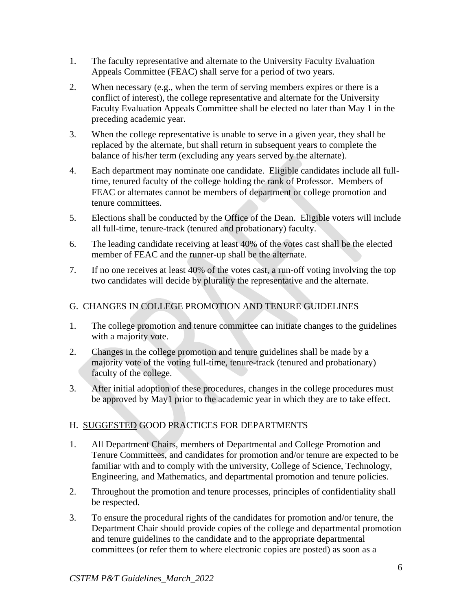- 1. The faculty representative and alternate to the University Faculty Evaluation Appeals Committee (FEAC) shall serve for a period of two years.
- 2. When necessary (e.g., when the term of serving members expires or there is a conflict of interest), the college representative and alternate for the University Faculty Evaluation Appeals Committee shall be elected no later than May 1 in the preceding academic year.
- 3. When the college representative is unable to serve in a given year, they shall be replaced by the alternate, but shall return in subsequent years to complete the balance of his/her term (excluding any years served by the alternate).
- 4. Each department may nominate one candidate. Eligible candidates include all fulltime, tenured faculty of the college holding the rank of Professor. Members of FEAC or alternates cannot be members of department or college promotion and tenure committees.
- 5. Elections shall be conducted by the Office of the Dean. Eligible voters will include all full-time, tenure-track (tenured and probationary) faculty.
- 6. The leading candidate receiving at least 40% of the votes cast shall be the elected member of FEAC and the runner-up shall be the alternate.
- 7. If no one receives at least 40% of the votes cast, a run-off voting involving the top two candidates will decide by plurality the representative and the alternate.

## G. CHANGES IN COLLEGE PROMOTION AND TENURE GUIDELINES

- 1. The college promotion and tenure committee can initiate changes to the guidelines with a majority vote.
- 2. Changes in the college promotion and tenure guidelines shall be made by a majority vote of the voting full-time, tenure-track (tenured and probationary) faculty of the college.
- 3. After initial adoption of these procedures, changes in the college procedures must be approved by May1 prior to the academic year in which they are to take effect.

## H. SUGGESTED GOOD PRACTICES FOR DEPARTMENTS

- 1. All Department Chairs, members of Departmental and College Promotion and Tenure Committees, and candidates for promotion and/or tenure are expected to be familiar with and to comply with the university, College of Science, Technology, Engineering, and Mathematics, and departmental promotion and tenure policies.
- 2. Throughout the promotion and tenure processes, principles of confidentiality shall be respected.
- 3. To ensure the procedural rights of the candidates for promotion and/or tenure, the Department Chair should provide copies of the college and departmental promotion and tenure guidelines to the candidate and to the appropriate departmental committees (or refer them to where electronic copies are posted) as soon as a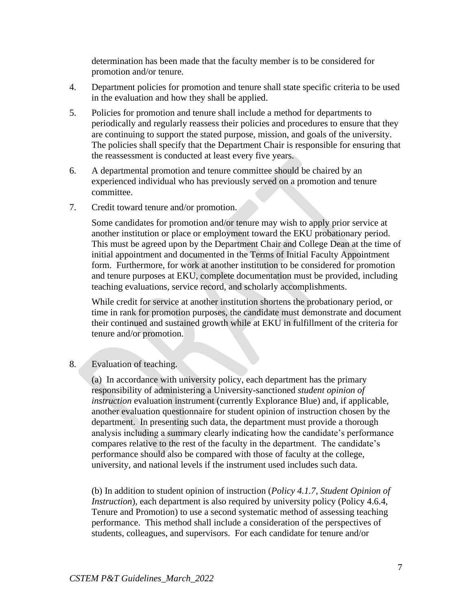determination has been made that the faculty member is to be considered for promotion and/or tenure.

- 4. Department policies for promotion and tenure shall state specific criteria to be used in the evaluation and how they shall be applied.
- 5. Policies for promotion and tenure shall include a method for departments to periodically and regularly reassess their policies and procedures to ensure that they are continuing to support the stated purpose, mission, and goals of the university. The policies shall specify that the Department Chair is responsible for ensuring that the reassessment is conducted at least every five years.
- 6. A departmental promotion and tenure committee should be chaired by an experienced individual who has previously served on a promotion and tenure committee.
- 7. Credit toward tenure and/or promotion.

Some candidates for promotion and/or tenure may wish to apply prior service at another institution or place or employment toward the EKU probationary period. This must be agreed upon by the Department Chair and College Dean at the time of initial appointment and documented in the Terms of Initial Faculty Appointment form. Furthermore, for work at another institution to be considered for promotion and tenure purposes at EKU, complete documentation must be provided, including teaching evaluations, service record, and scholarly accomplishments.

While credit for service at another institution shortens the probationary period, or time in rank for promotion purposes, the candidate must demonstrate and document their continued and sustained growth while at EKU in fulfillment of the criteria for tenure and/or promotion.

8. Evaluation of teaching.

(a)In accordance with university policy, each department has the primary responsibility of administering a University-sanctioned *student opinion of instruction* evaluation instrument (currently Explorance Blue) and, if applicable, another evaluation questionnaire for student opinion of instruction chosen by the department. In presenting such data, the department must provide a thorough analysis including a summary clearly indicating how the candidate's performance compares relative to the rest of the faculty in the department. The candidate's performance should also be compared with those of faculty at the college, university, and national levels if the instrument used includes such data.

(b) In addition to student opinion of instruction (*Policy 4.1.7, Student Opinion of Instruction*), each department is also required by university policy (Policy 4.6.4, Tenure and Promotion) to use a second systematic method of assessing teaching performance. This method shall include a consideration of the perspectives of students, colleagues, and supervisors. For each candidate for tenure and/or